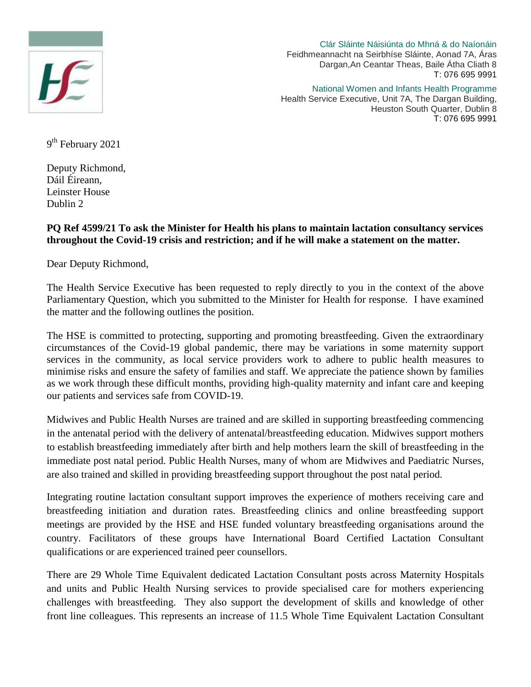

Clár Sláinte Náisiúnta do Mhná & do Naíonáin Feidhmeannacht na Seirbhíse Sláinte, Aonad 7A, Áras Dargan,An Ceantar Theas, Baile Átha Cliath 8 T: 076 695 9991

National Women and Infants Health Programme Health Service Executive, Unit 7A, The Dargan Building, Heuston South Quarter, Dublin 8 T: 076 695 9991

9<sup>th</sup> February 2021

Deputy Richmond, Dáil Éireann, Leinster House Dublin 2

## **PQ Ref 4599/21 To ask the Minister for Health his plans to maintain lactation consultancy services throughout the Covid-19 crisis and restriction; and if he will make a statement on the matter.**

Dear Deputy Richmond,

The Health Service Executive has been requested to reply directly to you in the context of the above Parliamentary Question, which you submitted to the Minister for Health for response. I have examined the matter and the following outlines the position.

The HSE is committed to protecting, supporting and promoting breastfeeding. Given the extraordinary circumstances of the Covid-19 global pandemic, there may be variations in some maternity support services in the community, as local service providers work to adhere to public health measures to minimise risks and ensure the safety of families and staff. We appreciate the patience shown by families as we work through these difficult months, providing high-quality maternity and infant care and keeping our patients and services safe from COVID-19.

Midwives and Public Health Nurses are trained and are skilled in supporting breastfeeding commencing in the antenatal period with the delivery of antenatal/breastfeeding education. Midwives support mothers to establish breastfeeding immediately after birth and help mothers learn the skill of breastfeeding in the immediate post natal period. Public Health Nurses, many of whom are Midwives and Paediatric Nurses, are also trained and skilled in providing breastfeeding support throughout the post natal period.

Integrating routine lactation consultant support improves the experience of mothers receiving care and breastfeeding initiation and duration rates. Breastfeeding clinics and online breastfeeding support meetings are provided by the HSE and HSE funded voluntary breastfeeding organisations around the country. Facilitators of these groups have International Board Certified Lactation Consultant qualifications or are experienced trained peer counsellors.

There are 29 Whole Time Equivalent dedicated Lactation Consultant posts across Maternity Hospitals and units and Public Health Nursing services to provide specialised care for mothers experiencing challenges with breastfeeding. They also support the development of skills and knowledge of other front line colleagues. This represents an increase of 11.5 Whole Time Equivalent Lactation Consultant